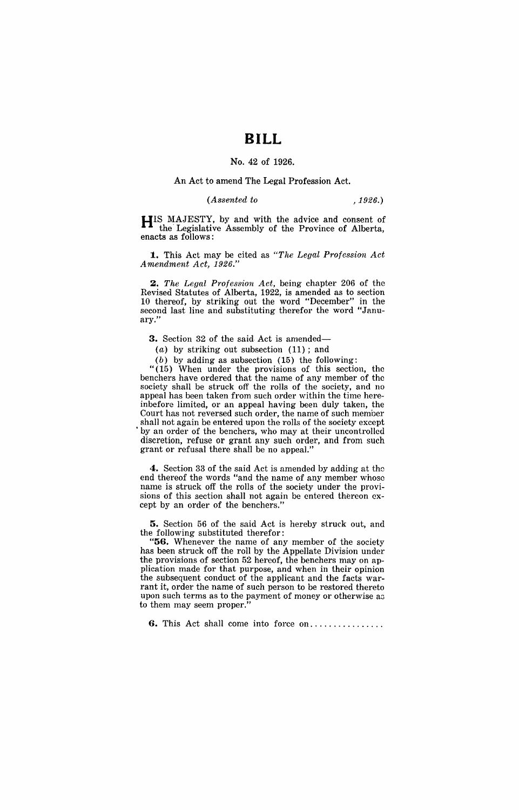## **BILL**

## No. 42 of 1926.

## An Act to amend The Legal Profession Act.

*(Assented to* ,1926.)

HIS MAJESTY, by and with the advice and consent of the'Legislative Assembly of the Province of Alberta, enacts as follows:

1. This Act may be cited as *"The Legal Profession Act*  A *mendment* Act, *1926."* 

*2. The Legal Profession Act,* being chapter 206 of the Revised Statutes of Alberta, 1922, is amended as to section 10 thereof, by striking out the word "December" in the second last line and substituting therefor the word "January.'

3. Section 32 of the said Act is amended-

(a) by striking out subsection (11); and

 $(b)$  by adding as subsection  $(15)$  the following:

"(15) When under the provisions of this section, the benchers have ordered that the name of any member of the society shall be struck off the rolls of the society, and no appeal has been taken from such order within the time hereinbefore limited, or an appeal having been duly taken, the Court has not reversed such order, the name of such member shall not again be entered upon the rolls of the society except by an order of the benchers, who may at their uncontrolled discretion, refuse or grant any such order, and from such grant or refusal there shall be no appeal."

4. Section 33 of the said Act is amended by adding at the end thereof the words "and the name of any member whose name is struck off the rolls of the society under the provisions of this section shall not again be entered thereon except by an order of the benchers."

5. Section 56 of the said Act is hereby struck out, and the following substituted therefor:

"56. Whenever the name of any member of the society has been struck off the roll by the Appellate Division under the provisions of section 52 hereof, the benchers may on application made for that purpose, and when in their opinion the subsequent conduct of the applicant and the facts warrant it, order the name of such person to be restored thereto upon such terms as to the payment of money or otherwise a3 to them may seem proper.

**6.** This Act shall come into force on.................